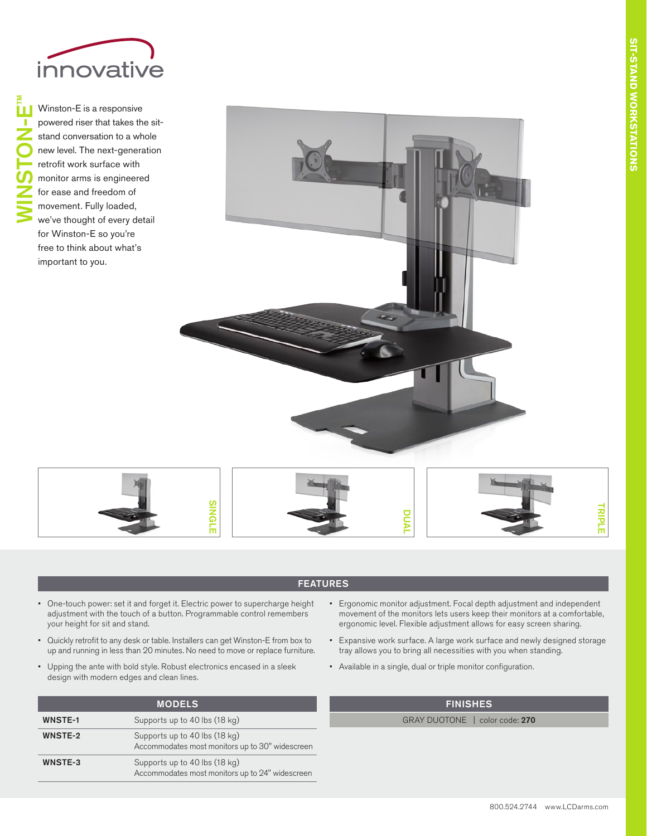

™

Winston-E is a responsive powered riser that takes the sitstand conversation to a whole new level. The next-generation retrofit work surface with monitor arms is engineered for ease and freedom of movement. Fully loaded, we've thought of every detail for Winston-E so you're free to think about what's important to you. WINSTON-E





## FEATURES

- One-touch power: set it and forget it. Electric power to supercharge height adjustment with the touch of a button. Programmable control remembers your height for sit and stand.
- Quickly retrofit to any desk or table. Installers can get Winston-E from box to up and running in less than 20 minutes. No need to move or replace furniture.
- Upping the ante with bold style. Robust electronics encased in a sleek design with modern edges and clean lines.

| <b>MODELS</b>  |                                                                                  |
|----------------|----------------------------------------------------------------------------------|
| <b>WNSTE-1</b> | Supports up to 40 lbs (18 kg)                                                    |
| <b>WNSTE-2</b> | Supports up to 40 lbs (18 kg)<br>Accommodates most monitors up to 30" widescreen |
| WNSTE-3        | Supports up to 40 lbs (18 kg)<br>Accommodates most monitors up to 24" widescreen |

- Ergonomic monitor adjustment. Focal depth adjustment and independent movement of the monitors lets users keep their monitors at a comfortable, ergonomic level. Flexible adjustment allows for easy screen sharing.
- Expansive work surface. A large work surface and newly designed storage tray allows you to bring all necessities with you when standing.
- Available in a single, dual or triple monitor configuration.

## FINISHES

GRAY DUOTONE | color code: 270